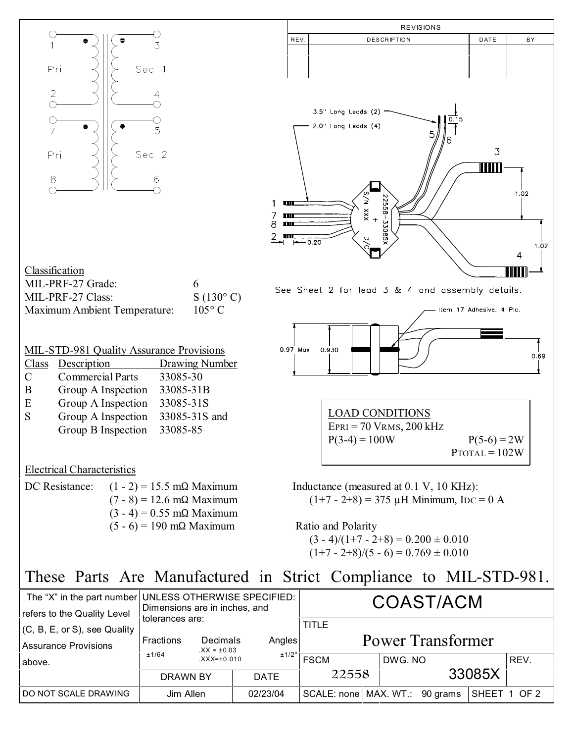

| The "X" in the part number UNLESS OTHERWISE SPECIFIED:<br>refers to the Quality Level | Dimensions are in inches, and                             | COAST/ACM   |                                   |                                  |         |              |      |
|---------------------------------------------------------------------------------------|-----------------------------------------------------------|-------------|-----------------------------------|----------------------------------|---------|--------------|------|
| (C, B, E, or S), see Quality<br><b>Assurance Provisions</b>                           | tolerances are:<br>Decimals<br>Fractions<br>$.XX = ±0.03$ | Angles      | TITLE<br><b>Power Transformer</b> |                                  |         |              |      |
| above.                                                                                | ±1/64<br>$XXX = \pm 0.010$                                | ±1/2°       | <b>FSCM</b>                       |                                  | DWG. NO |              | REV. |
|                                                                                       | DRAWN BY                                                  | <b>DATE</b> | 22558                             |                                  | 33085X  |              |      |
| DO NOT SCALE DRAWING                                                                  | Jim Allen                                                 | 02/23/04    |                                   | SCALE: none   MAX. WT.: 90 grams |         | SHEET 1 OF 2 |      |